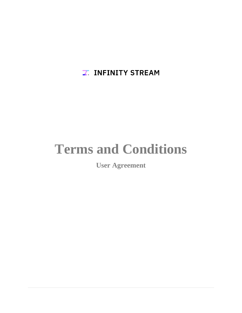**Z. INFINITY STREAM** 

# **Terms and Conditions**

**User Agreement**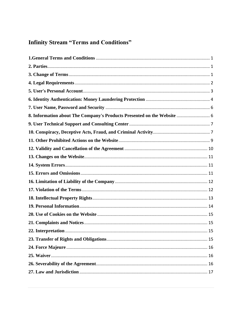# **Infinity Stream "Terms and Conditions"**

| 8. Information about The Company's Products Presented on the Website  6 |
|-------------------------------------------------------------------------|
|                                                                         |
|                                                                         |
|                                                                         |
|                                                                         |
|                                                                         |
|                                                                         |
|                                                                         |
|                                                                         |
|                                                                         |
|                                                                         |
|                                                                         |
|                                                                         |
|                                                                         |
| 22. Interpretation<br>-15                                               |
|                                                                         |
|                                                                         |
|                                                                         |
|                                                                         |
|                                                                         |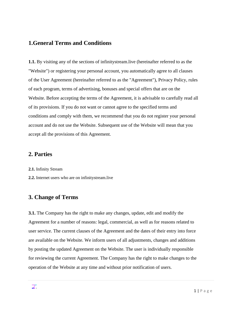#### <span id="page-2-0"></span>**1.General Terms and Conditions**

**1.1.** By visiting any of the sections of infinitystream.live (hereinafter referred to as the "Website") or registering your personal account, you automatically agree to all clauses of the User Agreement (hereinafter referred to as the "Agreement"), Privacy Policy, rules of each program, terms of advertising, bonuses and special offers that are on the Website. Before accepting the terms of the Agreement, it is advisable to carefully read all of its provisions. If you do not want or cannot agree to the specified terms and conditions and comply with them, we recommend that you do not register your personal account and do not use the Website. Subsequent use of the Website will mean that you accept all the provisions of this Agreement.

#### <span id="page-2-1"></span>**2. Parties**

**2.1.** Infinity Stream

**2.2.** Internet users who are on infinitystream.live

#### <span id="page-2-2"></span>**3. Change of Terms**

**3.1.** The Company has the right to make any changes, update, edit and modify the Agreement for a number of reasons: legal, commercial, as well as for reasons related to user service. The current clauses of the Agreement and the dates of their entry into force are available on the Website. We inform users of all adjustments, changes and additions by posting the updated Agreement on the Website. The user is individually responsible for reviewing the current Agreement. The Company has the right to make changes to the operation of the Website at any time and without prior notification of users.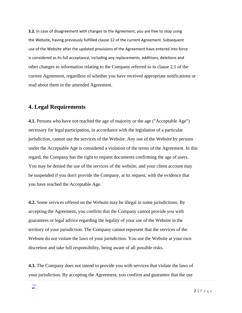**3.2.** In case of disagreement with changes to the Agreement, you are free to stop using the Website, having previously fulfilled clause 12 of the current Agreement. Subsequent use of the Website after the updated provisions of the Agreement have entered into force is considered as its full acceptance, including any replacements, additions, deletions and other changes to information relating to the Company referred to in clause 2.1 of the current Agreement, regardless of whether you have received appropriate notifications or read about them in the amended Agreement.

#### <span id="page-3-0"></span>**4. Legal Requirements**

**4.1.** Persons who have not reached the age of majority or the age ("Acceptable Age") necessary for legal participation, in accordance with the legislation of a particular jurisdiction, cannot use the services of the Website. Any use of the Website by persons under the Acceptable Age is considered a violation of the terms of the Agreement. In this regard, the Company has the right to request documents confirming the age of users. You may be denied the use of the services of the website, and your client account may be suspended if you don't provide the Company, at its request, with the evidence that you have reached the Acceptable Age.

**4.2.** Some services offered on the Website may be illegal in some jurisdictions. By accepting the Agreement, you confirm that the Company cannot provide you with guarantees or legal advice regarding the legality of your use of the Website in the territory of your jurisdiction. The Company cannot represent that the services of the Website do not violate the laws of your jurisdiction. You use the Website at your own discretion and take full responsibility, being aware of all possible risks.

**4.3.** The Company does not intend to provide you with services that violate the laws of your jurisdiction. By accepting the Agreement, you confirm and guarantee that the use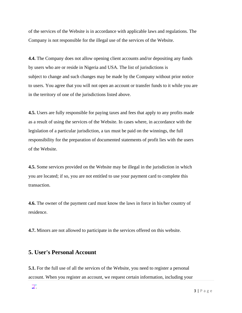of the services of the Website is in accordance with applicable laws and regulations. The Company is not responsible for the illegal use of the services of the Website.

**4.4.** The Company does not allow opening client accounts and/or depositing any funds by users who are or reside in Nigeria and USA. The list of jurisdictions is subject to change and such changes may be made by the Company without prior notice to users. You agree that you will not open an account or transfer funds to it while you are in the territory of one of the jurisdictions listed above.

**4.5.** Users are fully responsible for paying taxes and fees that apply to any profits made as a result of using the services of the Website. In cases where, in accordance with the legislation of a particular jurisdiction, a tax must be paid on the winnings, the full responsibility for the preparation of documented statements of profit lies with the users of the Website.

**4.5.** Some services provided on the Website may be illegal in the jurisdiction in which you are located; if so, you are not entitled to use your payment card to complete this transaction.

**4.6.** The owner of the payment card must know the laws in force in his/her country of residence.

**4.7.** Minors are not allowed to participate in the services offered on this website.

#### <span id="page-4-0"></span>**5. User's Personal Account**

**5.1.** For the full use of all the services of the Website, you need to register a personal account. When you register an account, we request certain information, including your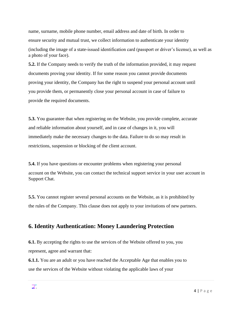name, surname, mobile phone number, email address and date of birth. In order to ensure security and mutual trust, we collect information to authenticate your identity (including the image of a state-issued identification card (passport or driver's license), as well as a photo of your face).

**5.2.** If the Company needs to verify the truth of the information provided, it may request documents proving your identity. If for some reason you cannot provide documents proving your identity, the Company has the right to suspend your personal account until you provide them, or permanently close your personal account in case of failure to provide the required documents.

**5.3.** You guarantee that when registering on the Website, you provide complete, accurate and reliable information about yourself, and in case of changes in it, you will immediately make the necessary changes to the data. Failure to do so may result in restrictions, suspension or blocking of the client account.

**5.4.** If you have questions or encounter problems when registering your personal account on the Website, you can contact the technical support service in your user account in Support Chat.

**5.5.** You cannot register several personal accounts on the Website, as it is prohibited by the rules of the Company. This clause does not apply to your invitations of new partners.

# <span id="page-5-0"></span>**6. Identity Authentication: Money Laundering Protection**

**6.1.** By accepting the rights to use the services of the Website offered to you, you represent, agree and warrant that:

**6.1.1.** You are an adult or you have reached the Acceptable Age that enables you to use the services of the Website without violating the applicable laws of your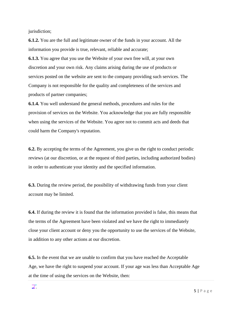jurisdiction;

**6.1.2.** You are the full and legitimate owner of the funds in your account. All the information you provide is true, relevant, reliable and accurate;

**6.1.3.** You agree that you use the Website of your own free will, at your own discretion and your own risk. Any claims arising during the use of products or services posted on the website are sent to the company providing such services. The Company is not responsible for the quality and completeness of the services and products of partner companies;

**6.1.4.** You well understand the general methods, procedures and rules for the provision of services on the Website. You acknowledge that you are fully responsible when using the services of the Website. You agree not to commit acts and deeds that could harm the Company's reputation.

**6.2.** By accepting the terms of the Agreement, you give us the right to conduct periodic reviews (at our discretion, or at the request of third parties, including authorized bodies) in order to authenticate your identity and the specified information.

**6.3.** During the review period, the possibility of withdrawing funds from your client account may be limited.

**6.4.** If during the review it is found that the information provided is false, this means that the terms of the Agreement have been violated and we have the right to immediately close your client account or deny you the opportunity to use the services of the Website, in addition to any other actions at our discretion.

**6.5.** In the event that we are unable to confirm that you have reached the Acceptable Age, we have the right to suspend your account. If your age was less than Acceptable Age at the time of using the services on the Website, then: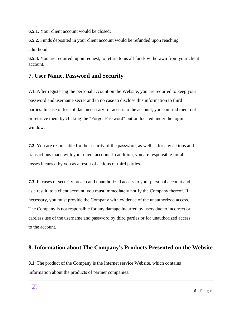**6.5.1.** Your client account would be closed;

**6.5.2.** Funds deposited in your client account would be refunded upon reaching adulthood;

**6.5.3.** You are required, upon request, to return to us all funds withdrawn from your client account.

# <span id="page-7-0"></span>**7. User Name, Password and Security**

**7.1.** After registering the personal account on the Website, you are required to keep your password and username secret and in no case to disclose this information to third parties. In case of loss of data necessary for access to the account, you can find them out or retrieve them by clicking the "Forgot Password" button located under the login window.

**7.2.** You are responsible for the security of the password, as well as for any actions and transactions made with your client account. In addition, you are responsible for all losses incurred by you as a result of actions of third parties.

**7.3.** In cases of security breach and unauthorized access to your personal account and, as a result, to a client account, you must immediately notify the Company thereof. If necessary, you must provide the Company with evidence of the unauthorized access. The Company is not responsible for any damage incurred by users due to incorrect or careless use of the username and password by third parties or for unauthorized access to the account.

# <span id="page-7-1"></span>**8. Information about The Company's Products Presented on the Website**

**8.1.** The product of the Company is the Internet service Website, which contains information about the products of partner companies.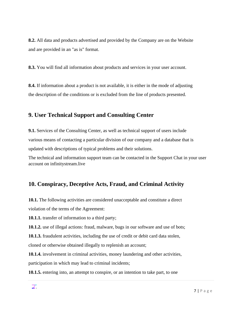**8.2.** All data and products advertised and provided by the Company are on the Website and are provided in an "as is" format.

**8.3.** You will find all information about products and services in your user account.

**8.4.** If information about a product is not available, it is either in the mode of adjusting the description of the conditions or is excluded from the line of products presented.

# <span id="page-8-0"></span>**9. User Technical Support and Consulting Center**

**9.1.** Services of the Consulting Center, as well as technical support of users include various means of contacting a particular division of our company and a database that is updated with descriptions of typical problems and their solutions.

The technical and information support team can be contacted in the Support Chat in your user account on infinitystream.live

# <span id="page-8-1"></span>**10. Conspiracy, Deceptive Acts, Fraud, and Criminal Activity**

**10.1.** The following activities are considered unacceptable and constitute a direct

violation of the terms of the Agreement:

**10.1.1.** transfer of information to a third party;

**10.1.2.** use of illegal actions: fraud, malware, bugs in our software and use of bots;

**10.1.3.** fraudulent activities, including the use of credit or debit card data stolen,

cloned or otherwise obtained illegally to replenish an account;

**10.1.4.** involvement in criminal activities, money laundering and other activities, participation in which may lead to criminal incidents;

**10.1.5.** entering into, an attempt to conspire, or an intention to take part, to one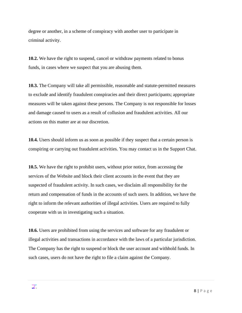degree or another, in a scheme of conspiracy with another user to participate in criminal activity.

**10.2.** We have the right to suspend, cancel or withdraw payments related to bonus funds, in cases where we suspect that you are abusing them.

**10.3.** The Company will take all permissible, reasonable and statute-permitted measures to exclude and identify fraudulent conspiracies and their direct participants; appropriate measures will be taken against these persons. The Company is not responsible for losses and damage caused to users as a result of collusion and fraudulent activities. All our actions on this matter are at our discretion.

**10.4.** Users should inform us as soon as possible if they suspect that a certain person is conspiring or carrying out fraudulent activities. You may contact us in the Support Chat.

**10.5.** We have the right to prohibit users, without prior notice, from accessing the services of the Website and block their client accounts in the event that they are suspected of fraudulent activity. In such cases, we disclaim all responsibility for the return and compensation of funds in the accounts of such users. In addition, we have the right to inform the relevant authorities of illegal activities. Users are required to fully cooperate with us in investigating such a situation.

**10.6.** Users are prohibited from using the services and software for any fraudulent or illegal activities and transactions in accordance with the laws of a particular jurisdiction. The Company has the right to suspend or block the user account and withhold funds. In such cases, users do not have the right to file a claim against the Company.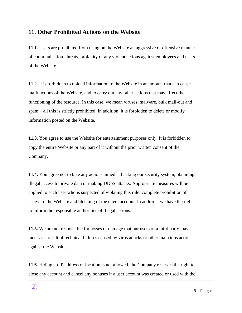#### <span id="page-10-0"></span>**11. Other Prohibited Actions on the Website**

**11.1.** Users are prohibited from using on the Website an aggressive or offensive manner of communication, threats, profanity or any violent actions against employees and users of the Website.

**11.2.** It is forbidden to upload information to the Website in an amount that can cause malfunctions of the Website, and to carry out any other actions that may affect the functioning of the resource. In this case, we mean viruses, malware, bulk mail-out and spam – all this is strictly prohibited. In addition, it is forbidden to delete or modify information posted on the Website.

**11.3.** You agree to use the Website for entertainment purposes only. It is forbidden to copy the entire Website or any part of it without the prior written consent of the Company.

**11.4.** You agree not to take any actions aimed at hacking our security system, obtaining illegal access to private data or making DDoS attacks. Appropriate measures will be applied to each user who is suspected of violating this rule: complete prohibition of access to the Website and blocking of the client account. In addition, we have the right to inform the responsible authorities of illegal actions.

**11.5.** We are not responsible for losses or damage that our users or a third party may incur as a result of technical failures caused by virus attacks or other malicious actions against the Website.

**11.6.** Hiding an IP address or location is not allowed, the Company reserves the right to close any account and cancel any bonuses if a user account was created or used with the

Z.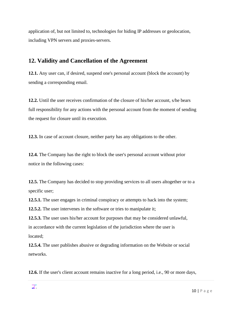application of, but not limited to, technologies for hiding IP addresses or geolocation, including VPN servers and proxies-servers.

# <span id="page-11-0"></span>**12. Validity and Cancellation of the Agreement**

**12.1.** Any user can, if desired, suspend one's personal account (block the account) by sending a corresponding email.

**12.2.** Until the user receives confirmation of the closure of his/her account, s/he bears full responsibility for any actions with the personal account from the moment of sending the request for closure until its execution.

**12.3.** In case of account closure, neither party has any obligations to the other.

**12.4.** The Company has the right to block the user's personal account without prior notice in the following cases:

**12.5.** The Company has decided to stop providing services to all users altogether or to a specific user;

**12.5.1.** The user engages in criminal conspiracy or attempts to hack into the system;

**12.5.2.** The user intervenes in the software or tries to manipulate it;

**12.5.3.** The user uses his/her account for purposes that may be considered unlawful, in accordance with the current legislation of the jurisdiction where the user is located;

**12.5.4.** The user publishes abusive or degrading information on the Website or social networks.

**12.6.** If the user's client account remains inactive for a long period, i.e., 90 or more days,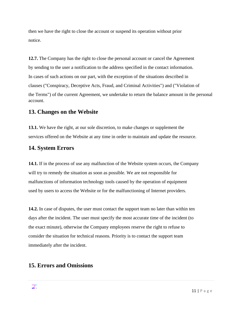then we have the right to close the account or suspend its operation without prior notice.

**12.7.** The Company has the right to close the personal account or cancel the Agreement by sending to the user a notification to the address specified in the contact information. In cases of such actions on our part, with the exception of the situations described in clauses ("Conspiracy, Deceptive Acts, Fraud, and Criminal Activities") and ("Violation of the Terms") of the current Agreement, we undertake to return the balance amount in the personal account.

#### <span id="page-12-0"></span>**13. Changes on the Website**

**13.1.** We have the right, at our sole discretion, to make changes or supplement the services offered on the Website at any time in order to maintain and update the resource.

#### <span id="page-12-1"></span>**14. System Errors**

**14.1.** If in the process of use any malfunction of the Website system occurs, the Company will try to remedy the situation as soon as possible. We are not responsible for malfunctions of information technology tools caused by the operation of equipment used by users to access the Website or for the malfunctioning of Internet providers.

**14.2.** In case of disputes, the user must contact the support team no later than within ten days after the incident. The user must specify the most accurate time of the incident (to the exact minute), otherwise the Company employees reserve the right to refuse to consider the situation for technical reasons. Priority is to contact the support team immediately after the incident.

#### <span id="page-12-2"></span>**15. Errors and Omissions**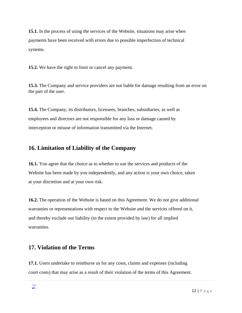**15.1.** In the process of using the services of the Website, situations may arise when payments have been received with errors due to possible imperfection of technical systems.

**15.2.** We have the right to limit or cancel any payment.

**15.3.** The Company and service providers are not liable for damage resulting from an error on the part of the user.

**15.4.** The Company, its distributors, licensees, branches, subsidiaries, as well as employees and directors are not responsible for any loss or damage caused by interception or misuse of information transmitted via the Internet.

## <span id="page-13-0"></span>**16. Limitation of Liability of the Company**

**16.1.** You agree that the choice as to whether to use the services and products of the Website has been made by you independently, and any action is your own choice, taken at your discretion and at your own risk.

**16.2.** The operation of the Website is based on this Agreement. We do not give additional warranties or representations with respect to the Website and the services offered on it, and thereby exclude our liability (to the extent provided by law) for all implied warranties.

# <span id="page-13-1"></span>**17. Violation of the Terms**

**17.1.** Users undertake to reimburse us for any costs, claims and expenses (including court costs) that may arise as a result of their violation of the terms of this Agreement.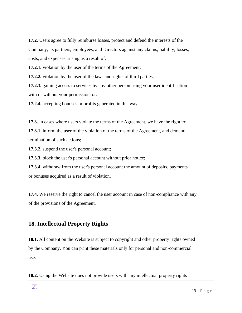**17.2.** Users agree to fully reimburse losses, protect and defend the interests of the Company, its partners, employees, and Directors against any claims, liability, losses, costs, and expenses arising as a result of:

**17.2.1.** violation by the user of the terms of the Agreement;

**17.2.2.** violation by the user of the laws and rights of third parties;

**17.2.3.** gaining access to services by any other person using your user identification with or without your permission, or:

**17.2.4.** accepting bonuses or profits generated in this way.

**17.3.** In cases where users violate the terms of the Agreement, we have the right to: **17.3.1.** inform the user of the violation of the terms of the Agreement, and demand termination of such actions;

**17.3.2.** suspend the user's personal account;

**17.3.3.** block the user's personal account without prior notice;

**17.3.4.** withdraw from the user's personal account the amount of deposits, payments or bonuses acquired as a result of violation.

**17.4.** We reserve the right to cancel the user account in case of non-compliance with any of the provisions of the Agreement.

#### <span id="page-14-0"></span>**18. Intellectual Property Rights**

**18.1.** All content on the Website is subject to copyright and other property rights owned by the Company. You can print these materials only for personal and non-commercial use.

**18.2.** Using the Website does not provide users with any intellectual property rights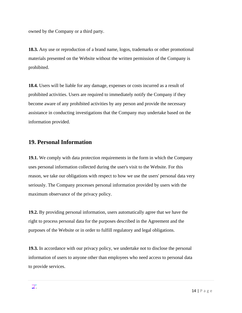owned by the Company or a third party.

**18.3.** Any use or reproduction of a brand name, logos, trademarks or other promotional materials presented on the Website without the written permission of the Company is prohibited.

**18.4.** Users will be liable for any damage, expenses or costs incurred as a result of prohibited activities. Users are required to immediately notify the Company if they become aware of any prohibited activities by any person and provide the necessary assistance in conducting investigations that the Company may undertake based on the information provided.

# <span id="page-15-0"></span>**19. Personal Information**

**19.1.** We comply with data protection requirements in the form in which the Company uses personal information collected during the user's visit to the Website. For this reason, we take our obligations with respect to how we use the users' personal data very seriously. The Company processes personal information provided by users with the maximum observance of the privacy policy.

**19.2.** By providing personal information, users automatically agree that we have the right to process personal data for the purposes described in the Agreement and the purposes of the Website or in order to fulfill regulatory and legal obligations.

**19.3.** In accordance with our privacy policy, we undertake not to disclose the personal information of users to anyone other than employees who need access to personal data to provide services.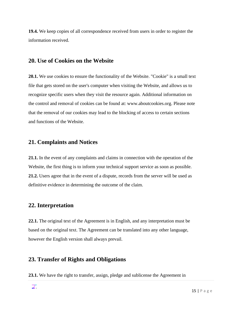**19.4.** We keep copies of all correspondence received from users in order to register the information received.

#### <span id="page-16-0"></span>**20. Use of Cookies on the Website**

**20.1.** We use cookies to ensure the functionality of the Website. "Cookie" is a small text file that gets stored on the user's computer when visiting the Website, and allows us to recognize specific users when they visit the resource again. Additional information on the control and removal of cookies can be found at: www.aboutcookies.org. Please note that the removal of our cookies may lead to the blocking of access to certain sections and functions of the Website.

#### <span id="page-16-1"></span>**21. Complaints and Notices**

**21.1.** In the event of any complaints and claims in connection with the operation of the Website, the first thing is to inform your technical support service as soon as possible. **21.2.** Users agree that in the event of a dispute, records from the server will be used as definitive evidence in determining the outcome of the claim.

#### <span id="page-16-2"></span>**22. Interpretation**

**22.1.** The original text of the Agreement is in English, and any interpretation must be based on the original text. The Agreement can be translated into any other language, however the English version shall always prevail.

#### <span id="page-16-3"></span>**23. Transfer of Rights and Obligations**

**23.1.** We have the right to transfer, assign, pledge and sublicense the Agreement in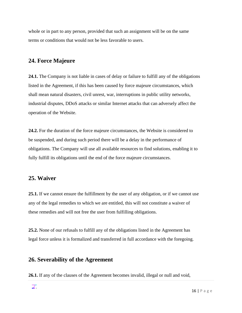whole or in part to any person, provided that such an assignment will be on the same terms or conditions that would not be less favorable to users.

# <span id="page-17-0"></span>**24. Force Majeure**

**24.1.** The Company is not liable in cases of delay or failure to fulfill any of the obligations listed in the Agreement, if this has been caused by force majeure circumstances, which shall mean natural disasters, civil unrest, war, interruptions in public utility networks, industrial disputes, DDoS attacks or similar Internet attacks that can adversely affect the operation of the Website.

**24.2.** For the duration of the force majeure circumstances, the Website is considered to be suspended, and during such period there will be a delay in the performance of obligations. The Company will use all available resources to find solutions, enabling it to fully fulfill its obligations until the end of the force majeure circumstances.

#### <span id="page-17-1"></span>**25. Waiver**

**25.1.** If we cannot ensure the fulfillment by the user of any obligation, or if we cannot use any of the legal remedies to which we are entitled, this will not constitute a waiver of these remedies and will not free the user from fulfilling obligations.

**25.2.** None of our refusals to fulfill any of the obligations listed in the Agreement has legal force unless it is formalized and transferred in full accordance with the foregoing.

#### <span id="page-17-2"></span>**26. Severability of the Agreement**

**26.1.** If any of the clauses of the Agreement becomes invalid, illegal or null and void,